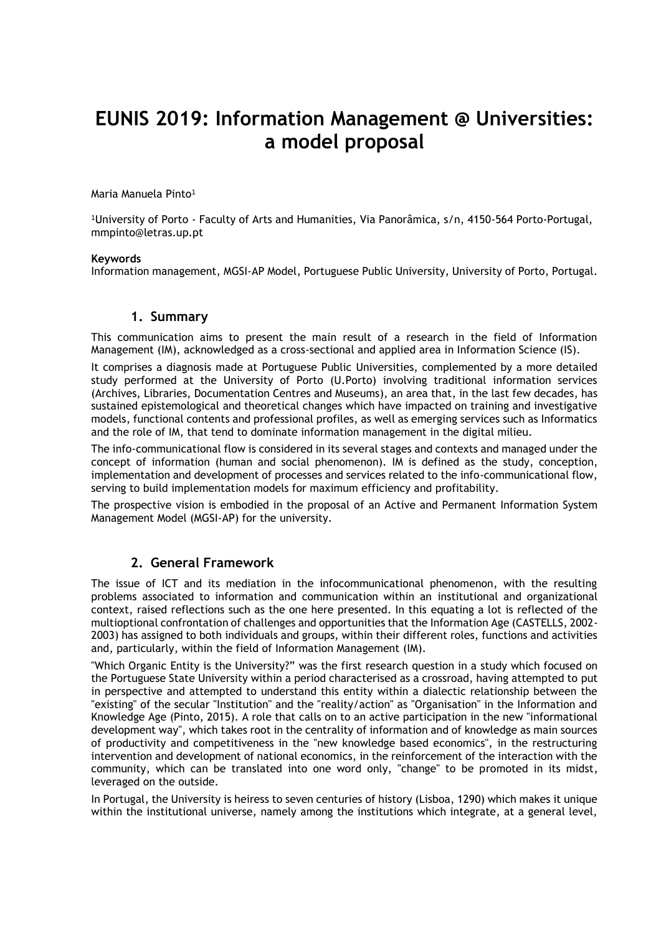# **EUNIS 2019: Information Management @ Universities: a model proposal**

Maria Manuela Pinto<sup>1</sup>

<sup>1</sup>University of Porto - Faculty of Arts and Humanities, Via Panorâmica, s/n, 4150-564 Porto-Portugal, mmpinto@letras.up.pt

#### **Keywords**

Information management, MGSI-AP Model, Portuguese Public University, University of Porto, Portugal.

### **1. Summary**

This communication aims to present the main result of a research in the field of Information Management (IM), acknowledged as a cross-sectional and applied area in Information Science (IS).

It comprises a diagnosis made at Portuguese Public Universities, complemented by a more detailed study performed at the University of Porto (U.Porto) involving traditional information services (Archives, Libraries, Documentation Centres and Museums), an area that, in the last few decades, has sustained epistemological and theoretical changes which have impacted on training and investigative models, functional contents and professional profiles, as well as emerging services such as Informatics and the role of IM, that tend to dominate information management in the digital milieu.

The info-communicational flow is considered in its several stages and contexts and managed under the concept of information (human and social phenomenon). IM is defined as the study, conception, implementation and development of processes and services related to the info-communicational flow, serving to build implementation models for maximum efficiency and profitability.

The prospective vision is embodied in the proposal of an Active and Permanent Information System Management Model (MGSI-AP) for the university.

### **2. General Framework**

The issue of ICT and its mediation in the infocommunicational phenomenon, with the resulting problems associated to information and communication within an institutional and organizational context, raised reflections such as the one here presented. In this equating a lot is reflected of the multioptional confrontation of challenges and opportunities that the Information Age (CASTELLS, 2002- 2003) has assigned to both individuals and groups, within their different roles, functions and activities and, particularly, within the field of Information Management (IM).

"Which Organic Entity is the University?" was the first research question in a study which focused on the Portuguese State University within a period characterised as a crossroad, having attempted to put in perspective and attempted to understand this entity within a dialectic relationship between the "existing" of the secular "Institution" and the "reality/action" as "Organisation" in the Information and Knowledge Age (Pinto, 2015). A role that calls on to an active participation in the new "informational development way", which takes root in the centrality of information and of knowledge as main sources of productivity and competitiveness in the "new knowledge based economics", in the restructuring intervention and development of national economics, in the reinforcement of the interaction with the community, which can be translated into one word only, "change" to be promoted in its midst, leveraged on the outside.

In Portugal, the University is heiress to seven centuries of history (Lisboa, 1290) which makes it unique within the institutional universe, namely among the institutions which integrate, at a general level,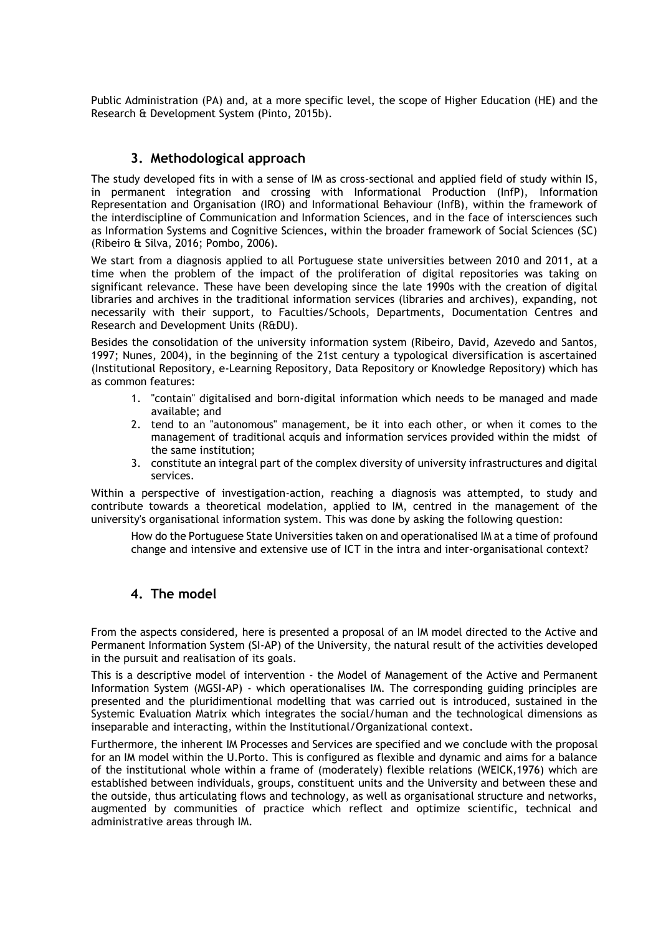Public Administration (PA) and, at a more specific level, the scope of Higher Education (HE) and the Research & Development System (Pinto, 2015b).

## **3. Methodological approach**

The study developed fits in with a sense of IM as cross-sectional and applied field of study within IS, in permanent integration and crossing with Informational Production (InfP), Information Representation and Organisation (IRO) and Informational Behaviour (InfB), within the framework of the interdiscipline of Communication and Information Sciences, and in the face of intersciences such as Information Systems and Cognitive Sciences, within the broader framework of Social Sciences (SC) (Ribeiro & Silva, 2016; Pombo, 2006)*.*

We start from a diagnosis applied to all Portuguese state universities between 2010 and 2011, at a time when the problem of the impact of the proliferation of digital repositories was taking on significant relevance. These have been developing since the late 1990s with the creation of digital libraries and archives in the traditional information services (libraries and archives), expanding, not necessarily with their support, to Faculties/Schools, Departments, Documentation Centres and Research and Development Units (R&DU).

Besides the consolidation of the university information system (Ribeiro, David, Azevedo and Santos, 1997; Nunes, 2004), in the beginning of the 21st century a typological diversification is ascertained (Institutional Repository, e-Learning Repository, Data Repository or Knowledge Repository) which has as common features:

- 1. "contain" digitalised and born-digital information which needs to be managed and made available; and
- 2. tend to an "autonomous" management, be it into each other, or when it comes to the management of traditional acquis and information services provided within the midst of the same institution;
- 3. constitute an integral part of the complex diversity of university infrastructures and digital services.

Within a perspective of investigation-action, reaching a diagnosis was attempted, to study and contribute towards a theoretical modelation, applied to IM, centred in the management of the university's organisational information system. This was done by asking the following question:

How do the Portuguese State Universities taken on and operationalised IM at a time of profound change and intensive and extensive use of ICT in the intra and inter-organisational context?

# **4. The model**

From the aspects considered, here is presented a proposal of an IM model directed to the Active and Permanent Information System (SI-AP) of the University, the natural result of the activities developed in the pursuit and realisation of its goals.

This is a descriptive model of intervention - the Model of Management of the Active and Permanent Information System (MGSI-AP) - which operationalises IM. The corresponding guiding principles are presented and the pluridimentional modelling that was carried out is introduced, sustained in the Systemic Evaluation Matrix which integrates the social/human and the technological dimensions as inseparable and interacting, within the Institutional/Organizational context.

Furthermore, the inherent IM Processes and Services are specified and we conclude with the proposal for an IM model within the U.Porto. This is configured as flexible and dynamic and aims for a balance of the institutional whole within a frame of (moderately) flexible relations (WEICK,1976) which are established between individuals, groups, constituent units and the University and between these and the outside, thus articulating flows and technology, as well as organisational structure and networks, augmented by communities of practice which reflect and optimize scientific, technical and administrative areas through IM.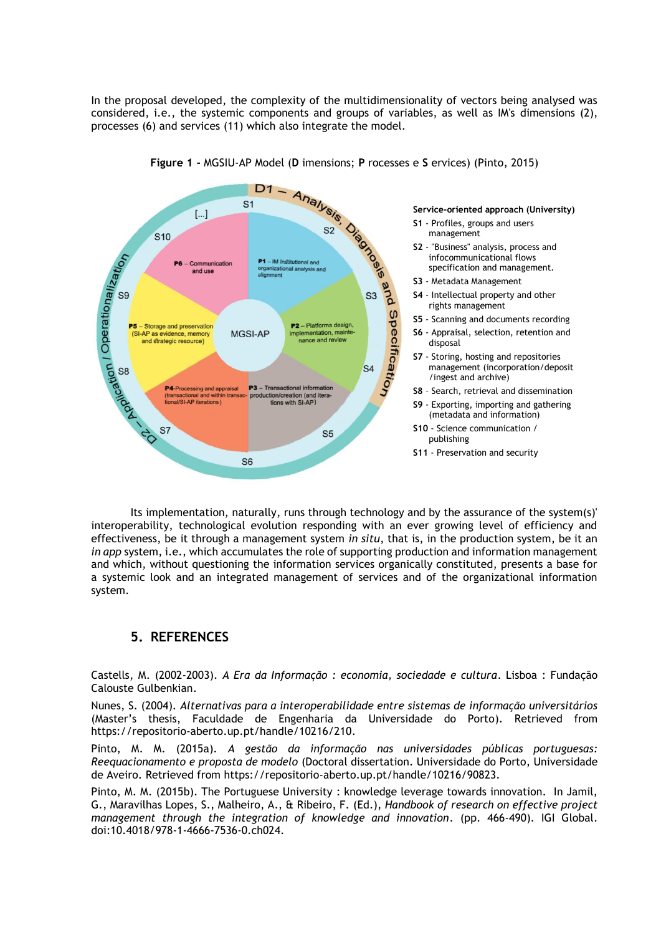In the proposal developed, the complexity of the multidimensionality of vectors being analysed was considered, i.e., the systemic components and groups of variables, as well as IM's dimensions (2), processes (6) and services (11) which also integrate the model.



Its implementation, naturally, runs through technology and by the assurance of the system(s)' interoperability, technological evolution responding with an ever growing level of efficiency and effectiveness, be it through a management system *in situ*, that is, in the production system, be it an *in app* system, i.e., which accumulates the role of supporting production and information management and which, without questioning the information services organically constituted, presents a base for a systemic look and an integrated management of services and of the organizational information system.

# **5. REFERENCES**

Castells, M. (2002-2003). *A Era da Informação : economia, sociedade e cultura*. Lisboa : Fundação Calouste Gulbenkian.

Nunes, S. (2004). *Alternativas para a interoperabilidade entre sistemas de informação universitários* (Master's thesis, Faculdade de Engenharia da Universidade do Porto). Retrieved from https://repositorio-aberto.up.pt/handle/10216/210.

Pinto, M. M. (2015a). *A gestão da informação nas universidades públicas portuguesas: Reequacionamento e proposta de modelo* (Doctoral dissertation. Universidade do Porto, Universidade de Aveiro. Retrieved from https://repositorio-aberto.up.pt/handle/10216/90823.

Pinto, M. M. (2015b). The Portuguese University : knowledge leverage towards innovation. In Jamil, G., Maravilhas Lopes, S., Malheiro, A., & Ribeiro, F. (Ed.), *Handbook of research on effective project management through the integration of knowledge and innovation*. (pp. 466-490). IGI Global. doi:10.4018/978-1-4666-7536-0.ch024.